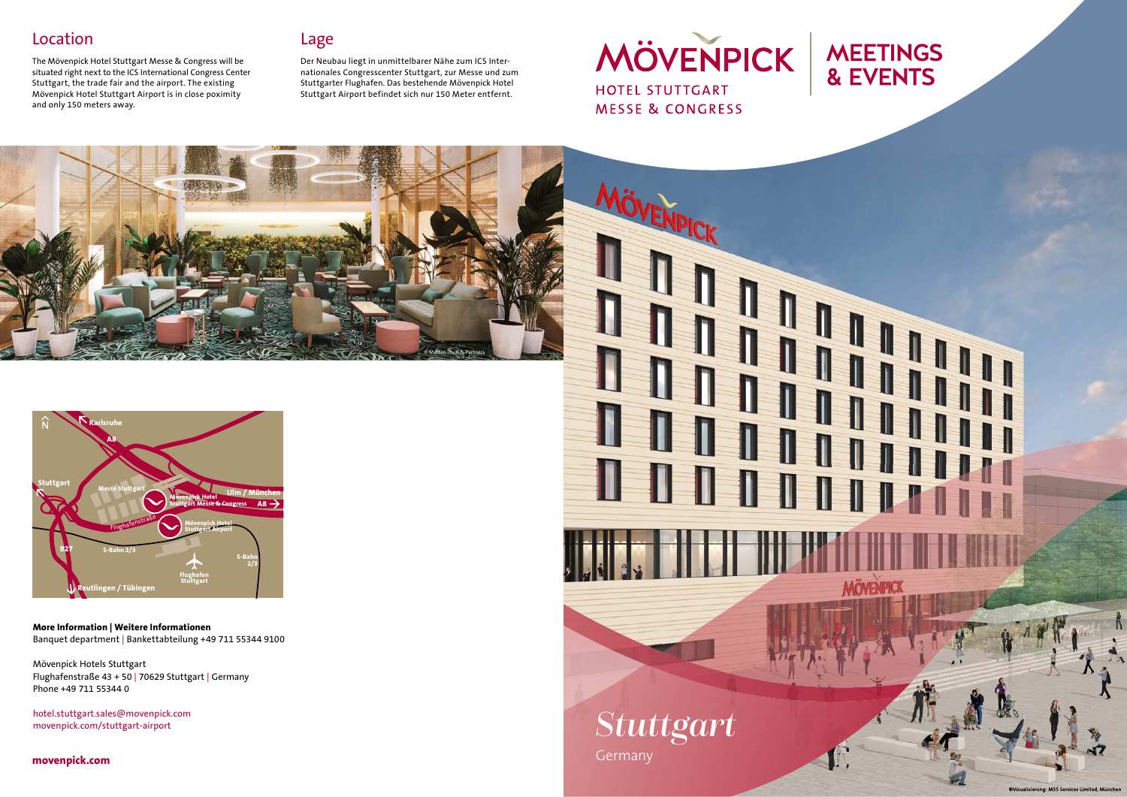#### Location

The Mövenpick Hotel Stuttgart Messe & Congress will be situated right next to the ICS International Congress Center Stuttgart, the trade fair and the airport. The existing Mövenpick Hotel Stuttgart Airport is in close poximity and only 150 meters away.

#### Lage

Der Neubau liegt in unmittelbarer Nähe zum ICS Internationales Congresscenter Stuttgart, zur Messe und zum Stuttgarter Flughafen. Das bestehende Mövenpick Hotel Stuttgart Airport befindet sich nur 150 Meter entfernt.

space for the map **coming south A8 A8 B27 Flughafen Stuttgart Messe Stuttgart S-Bahn 2/3 S-Bahn 2/3 Ulm / Münche Karlsruhe Stuttgart Reutlingen / Tübingen** <sup>F</sup>lughafenstraß<sup>e</sup> **Mövenpick Hotel Stuttgart Airport Mövenpick Hotel** 

© Matteo Thun & Partners



**movenpick.com**





erung: M55 Se

*Stuttgart*

Germany



**More Information | Weitere Informationen** Banquet department | Bankettabteilung +49 711 55344 9100

Mövenpick Hotels Stuttgart Flughafenstraße 43 + 50 | 70629 Stuttgart | Germany Phone +49 711 55344 0

hotel.stuttgart.sales@movenpick.com movenpick.com/stuttgart-airport